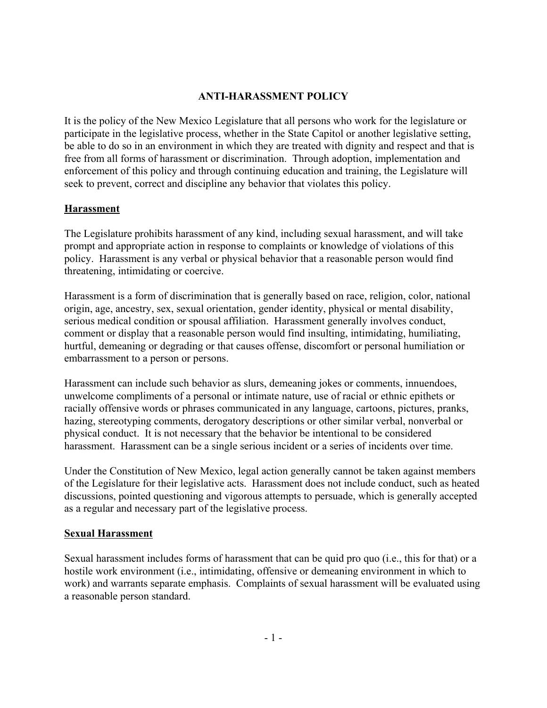## **ANTI-HARASSMENT POLICY**

It is the policy of the New Mexico Legislature that all persons who work for the legislature or participate in the legislative process, whether in the State Capitol or another legislative setting, be able to do so in an environment in which they are treated with dignity and respect and that is free from all forms of harassment or discrimination. Through adoption, implementation and enforcement of this policy and through continuing education and training, the Legislature will seek to prevent, correct and discipline any behavior that violates this policy.

### **Harassment**

The Legislature prohibits harassment of any kind, including sexual harassment, and will take prompt and appropriate action in response to complaints or knowledge of violations of this policy. Harassment is any verbal or physical behavior that a reasonable person would find threatening, intimidating or coercive.

Harassment is a form of discrimination that is generally based on race, religion, color, national origin, age, ancestry, sex, sexual orientation, gender identity, physical or mental disability, serious medical condition or spousal affiliation. Harassment generally involves conduct, comment or display that a reasonable person would find insulting, intimidating, humiliating, hurtful, demeaning or degrading or that causes offense, discomfort or personal humiliation or embarrassment to a person or persons.

Harassment can include such behavior as slurs, demeaning jokes or comments, innuendoes, unwelcome compliments of a personal or intimate nature, use of racial or ethnic epithets or racially offensive words or phrases communicated in any language, cartoons, pictures, pranks, hazing, stereotyping comments, derogatory descriptions or other similar verbal, nonverbal or physical conduct. It is not necessary that the behavior be intentional to be considered harassment. Harassment can be a single serious incident or a series of incidents over time.

Under the Constitution of New Mexico, legal action generally cannot be taken against members of the Legislature for their legislative acts. Harassment does not include conduct, such as heated discussions, pointed questioning and vigorous attempts to persuade, which is generally accepted as a regular and necessary part of the legislative process.

## **Sexual Harassment**

Sexual harassment includes forms of harassment that can be quid pro quo (i.e., this for that) or a hostile work environment (i.e., intimidating, offensive or demeaning environment in which to work) and warrants separate emphasis. Complaints of sexual harassment will be evaluated using a reasonable person standard.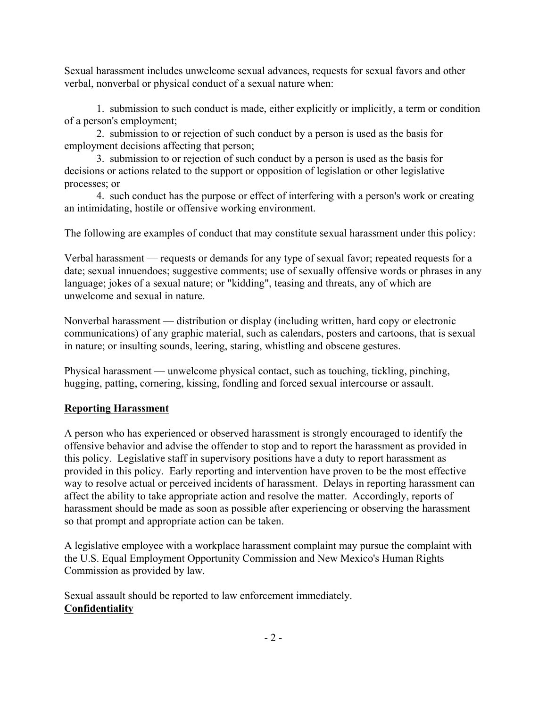Sexual harassment includes unwelcome sexual advances, requests for sexual favors and other verbal, nonverbal or physical conduct of a sexual nature when:

1. submission to such conduct is made, either explicitly or implicitly, a term or condition of a person's employment;

2. submission to or rejection of such conduct by a person is used as the basis for employment decisions affecting that person;

3. submission to or rejection of such conduct by a person is used as the basis for decisions or actions related to the support or opposition of legislation or other legislative processes; or

4. such conduct has the purpose or effect of interfering with a person's work or creating an intimidating, hostile or offensive working environment.

The following are examples of conduct that may constitute sexual harassment under this policy:

Verbal harassment — requests or demands for any type of sexual favor; repeated requests for a date; sexual innuendoes; suggestive comments; use of sexually offensive words or phrases in any language; jokes of a sexual nature; or "kidding", teasing and threats, any of which are unwelcome and sexual in nature.

Nonverbal harassment — distribution or display (including written, hard copy or electronic communications) of any graphic material, such as calendars, posters and cartoons, that is sexual in nature; or insulting sounds, leering, staring, whistling and obscene gestures.

Physical harassment — unwelcome physical contact, such as touching, tickling, pinching, hugging, patting, cornering, kissing, fondling and forced sexual intercourse or assault.

# **Reporting Harassment**

A person who has experienced or observed harassment is strongly encouraged to identify the offensive behavior and advise the offender to stop and to report the harassment as provided in this policy. Legislative staff in supervisory positions have a duty to report harassment as provided in this policy. Early reporting and intervention have proven to be the most effective way to resolve actual or perceived incidents of harassment. Delays in reporting harassment can affect the ability to take appropriate action and resolve the matter. Accordingly, reports of harassment should be made as soon as possible after experiencing or observing the harassment so that prompt and appropriate action can be taken.

A legislative employee with a workplace harassment complaint may pursue the complaint with the U.S. Equal Employment Opportunity Commission and New Mexico's Human Rights Commission as provided by law.

Sexual assault should be reported to law enforcement immediately. **Confidentiality**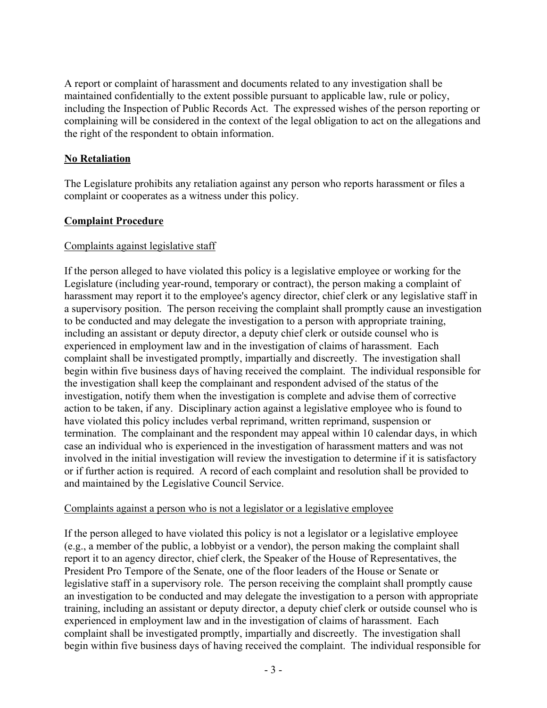A report or complaint of harassment and documents related to any investigation shall be maintained confidentially to the extent possible pursuant to applicable law, rule or policy, including the Inspection of Public Records Act. The expressed wishes of the person reporting or complaining will be considered in the context of the legal obligation to act on the allegations and the right of the respondent to obtain information.

## **No Retaliation**

The Legislature prohibits any retaliation against any person who reports harassment or files a complaint or cooperates as a witness under this policy.

# **Complaint Procedure**

## Complaints against legislative staff

If the person alleged to have violated this policy is a legislative employee or working for the Legislature (including year-round, temporary or contract), the person making a complaint of harassment may report it to the employee's agency director, chief clerk or any legislative staff in a supervisory position. The person receiving the complaint shall promptly cause an investigation to be conducted and may delegate the investigation to a person with appropriate training, including an assistant or deputy director, a deputy chief clerk or outside counsel who is experienced in employment law and in the investigation of claims of harassment. Each complaint shall be investigated promptly, impartially and discreetly. The investigation shall begin within five business days of having received the complaint. The individual responsible for the investigation shall keep the complainant and respondent advised of the status of the investigation, notify them when the investigation is complete and advise them of corrective action to be taken, if any. Disciplinary action against a legislative employee who is found to have violated this policy includes verbal reprimand, written reprimand, suspension or termination. The complainant and the respondent may appeal within 10 calendar days, in which case an individual who is experienced in the investigation of harassment matters and was not involved in the initial investigation will review the investigation to determine if it is satisfactory or if further action is required. A record of each complaint and resolution shall be provided to and maintained by the Legislative Council Service.

## Complaints against a person who is not a legislator or a legislative employee

If the person alleged to have violated this policy is not a legislator or a legislative employee (e.g., a member of the public, a lobbyist or a vendor), the person making the complaint shall report it to an agency director, chief clerk, the Speaker of the House of Representatives, the President Pro Tempore of the Senate, one of the floor leaders of the House or Senate or legislative staff in a supervisory role. The person receiving the complaint shall promptly cause an investigation to be conducted and may delegate the investigation to a person with appropriate training, including an assistant or deputy director, a deputy chief clerk or outside counsel who is experienced in employment law and in the investigation of claims of harassment. Each complaint shall be investigated promptly, impartially and discreetly. The investigation shall begin within five business days of having received the complaint. The individual responsible for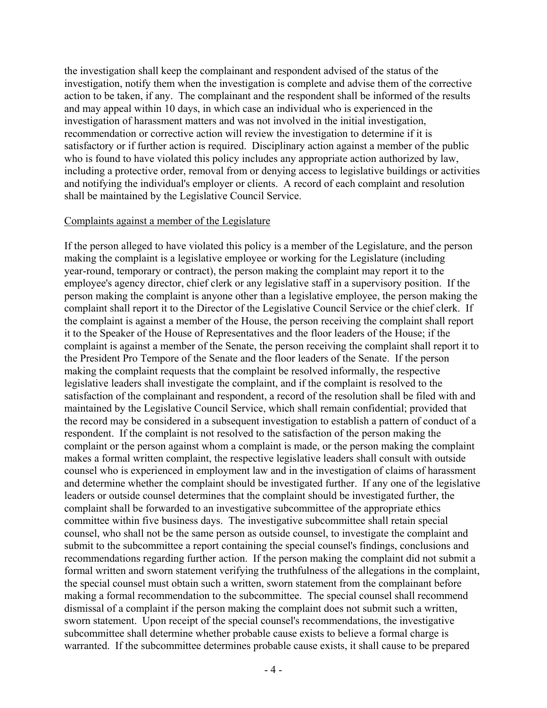the investigation shall keep the complainant and respondent advised of the status of the investigation, notify them when the investigation is complete and advise them of the corrective action to be taken, if any. The complainant and the respondent shall be informed of the results and may appeal within 10 days, in which case an individual who is experienced in the investigation of harassment matters and was not involved in the initial investigation, recommendation or corrective action will review the investigation to determine if it is satisfactory or if further action is required. Disciplinary action against a member of the public who is found to have violated this policy includes any appropriate action authorized by law, including a protective order, removal from or denying access to legislative buildings or activities and notifying the individual's employer or clients. A record of each complaint and resolution shall be maintained by the Legislative Council Service.

#### Complaints against a member of the Legislature

If the person alleged to have violated this policy is a member of the Legislature, and the person making the complaint is a legislative employee or working for the Legislature (including year-round, temporary or contract), the person making the complaint may report it to the employee's agency director, chief clerk or any legislative staff in a supervisory position. If the person making the complaint is anyone other than a legislative employee, the person making the complaint shall report it to the Director of the Legislative Council Service or the chief clerk. If the complaint is against a member of the House, the person receiving the complaint shall report it to the Speaker of the House of Representatives and the floor leaders of the House; if the complaint is against a member of the Senate, the person receiving the complaint shall report it to the President Pro Tempore of the Senate and the floor leaders of the Senate. If the person making the complaint requests that the complaint be resolved informally, the respective legislative leaders shall investigate the complaint, and if the complaint is resolved to the satisfaction of the complainant and respondent, a record of the resolution shall be filed with and maintained by the Legislative Council Service, which shall remain confidential; provided that the record may be considered in a subsequent investigation to establish a pattern of conduct of a respondent. If the complaint is not resolved to the satisfaction of the person making the complaint or the person against whom a complaint is made, or the person making the complaint makes a formal written complaint, the respective legislative leaders shall consult with outside counsel who is experienced in employment law and in the investigation of claims of harassment and determine whether the complaint should be investigated further. If any one of the legislative leaders or outside counsel determines that the complaint should be investigated further, the complaint shall be forwarded to an investigative subcommittee of the appropriate ethics committee within five business days. The investigative subcommittee shall retain special counsel, who shall not be the same person as outside counsel, to investigate the complaint and submit to the subcommittee a report containing the special counsel's findings, conclusions and recommendations regarding further action. If the person making the complaint did not submit a formal written and sworn statement verifying the truthfulness of the allegations in the complaint, the special counsel must obtain such a written, sworn statement from the complainant before making a formal recommendation to the subcommittee. The special counsel shall recommend dismissal of a complaint if the person making the complaint does not submit such a written, sworn statement. Upon receipt of the special counsel's recommendations, the investigative subcommittee shall determine whether probable cause exists to believe a formal charge is warranted. If the subcommittee determines probable cause exists, it shall cause to be prepared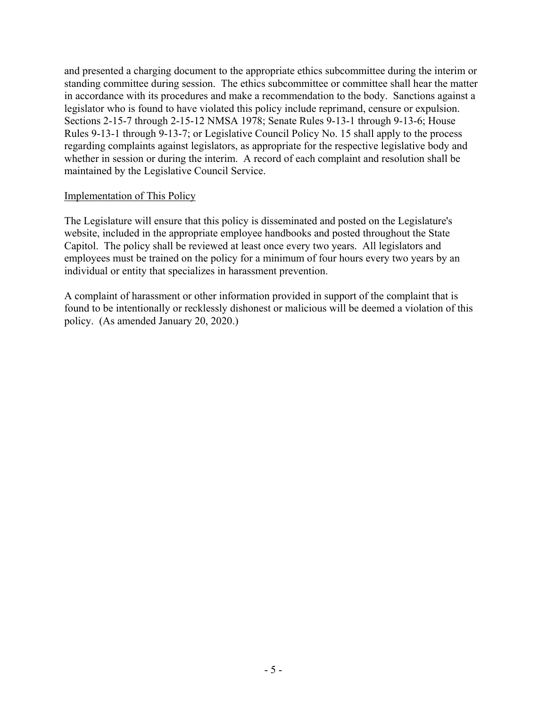and presented a charging document to the appropriate ethics subcommittee during the interim or standing committee during session. The ethics subcommittee or committee shall hear the matter in accordance with its procedures and make a recommendation to the body. Sanctions against a legislator who is found to have violated this policy include reprimand, censure or expulsion. Sections 2-15-7 through 2-15-12 NMSA 1978; Senate Rules 9-13-1 through 9-13-6; House Rules 9-13-1 through 9-13-7; or Legislative Council Policy No. 15 shall apply to the process regarding complaints against legislators, as appropriate for the respective legislative body and whether in session or during the interim. A record of each complaint and resolution shall be maintained by the Legislative Council Service.

### Implementation of This Policy

The Legislature will ensure that this policy is disseminated and posted on the Legislature's website, included in the appropriate employee handbooks and posted throughout the State Capitol. The policy shall be reviewed at least once every two years. All legislators and employees must be trained on the policy for a minimum of four hours every two years by an individual or entity that specializes in harassment prevention.

A complaint of harassment or other information provided in support of the complaint that is found to be intentionally or recklessly dishonest or malicious will be deemed a violation of this policy. (As amended January 20, 2020.)